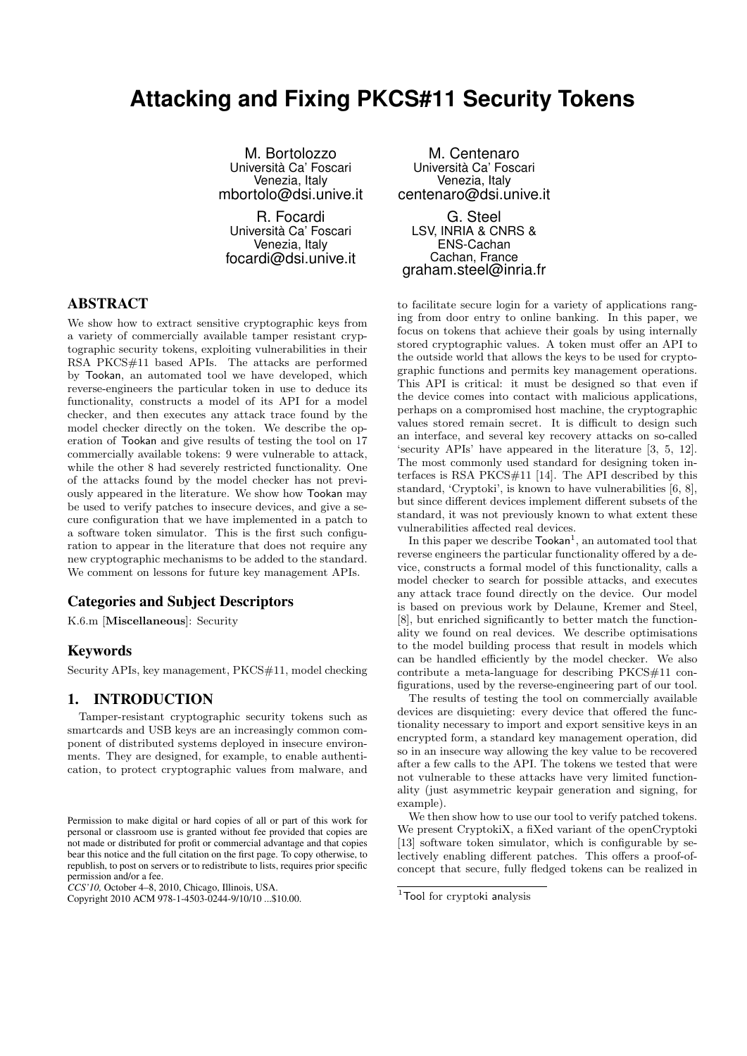# **Attacking and Fixing PKCS#11 Security Tokens**

M. Bortolozzo Università Ca' Foscari Venezia, Italy mbortolo@dsi.unive.it R. Focardi Università Ca' Foscari Venezia, Italy focardi@dsi.unive.it

ABSTRACT

We show how to extract sensitive cryptographic keys from a variety of commercially available tamper resistant cryptographic security tokens, exploiting vulnerabilities in their RSA PKCS#11 based APIs. The attacks are performed by Tookan, an automated tool we have developed, which reverse-engineers the particular token in use to deduce its functionality, constructs a model of its API for a model checker, and then executes any attack trace found by the model checker directly on the token. We describe the operation of Tookan and give results of testing the tool on 17 commercially available tokens: 9 were vulnerable to attack, while the other 8 had severely restricted functionality. One of the attacks found by the model checker has not previously appeared in the literature. We show how Tookan may be used to verify patches to insecure devices, and give a secure configuration that we have implemented in a patch to a software token simulator. This is the first such configuration to appear in the literature that does not require any new cryptographic mechanisms to be added to the standard. We comment on lessons for future key management APIs.

# Categories and Subject Descriptors

K.6.m [Miscellaneous]: Security

# Keywords

Security APIs, key management, PKCS#11, model checking

# 1. INTRODUCTION

Tamper-resistant cryptographic security tokens such as smartcards and USB keys are an increasingly common component of distributed systems deployed in insecure environments. They are designed, for example, to enable authentication, to protect cryptographic values from malware, and

*CCS'10,* October 4–8, 2010, Chicago, Illinois, USA.

M. Centenaro Università Ca' Foscari Venezia, Italy centenaro@dsi.unive.it G. Steel

LSV, INRIA & CNRS & ENS-Cachan Cachan, France graham.steel@inria.fr

to facilitate secure login for a variety of applications ranging from door entry to online banking. In this paper, we focus on tokens that achieve their goals by using internally stored cryptographic values. A token must offer an API to the outside world that allows the keys to be used for cryptographic functions and permits key management operations. This API is critical: it must be designed so that even if the device comes into contact with malicious applications, perhaps on a compromised host machine, the cryptographic values stored remain secret. It is difficult to design such an interface, and several key recovery attacks on so-called 'security APIs' have appeared in the literature [3, 5, 12]. The most commonly used standard for designing token interfaces is RSA PKCS#11 [14]. The API described by this standard, 'Cryptoki', is known to have vulnerabilities [6, 8], but since different devices implement different subsets of the standard, it was not previously known to what extent these vulnerabilities affected real devices.

In this paper we describe  $Tookan<sup>1</sup>$ , an automated tool that reverse engineers the particular functionality offered by a device, constructs a formal model of this functionality, calls a model checker to search for possible attacks, and executes any attack trace found directly on the device. Our model is based on previous work by Delaune, Kremer and Steel, [8], but enriched significantly to better match the functionality we found on real devices. We describe optimisations to the model building process that result in models which can be handled efficiently by the model checker. We also contribute a meta-language for describing PKCS#11 configurations, used by the reverse-engineering part of our tool.

The results of testing the tool on commercially available devices are disquieting: every device that offered the functionality necessary to import and export sensitive keys in an encrypted form, a standard key management operation, did so in an insecure way allowing the key value to be recovered after a few calls to the API. The tokens we tested that were not vulnerable to these attacks have very limited functionality (just asymmetric keypair generation and signing, for example).

We then show how to use our tool to verify patched tokens. We present CryptokiX, a fiXed variant of the openCryptoki [13] software token simulator, which is configurable by selectively enabling different patches. This offers a proof-ofconcept that secure, fully fledged tokens can be realized in

Permission to make digital or hard copies of all or part of this work for personal or classroom use is granted without fee provided that copies are not made or distributed for profit or commercial advantage and that copies bear this notice and the full citation on the first page. To copy otherwise, to republish, to post on servers or to redistribute to lists, requires prior specific permission and/or a fee.

Copyright 2010 ACM 978-1-4503-0244-9/10/10 ...\$10.00.

<sup>&</sup>lt;sup>1</sup>Tool for cryptoki analysis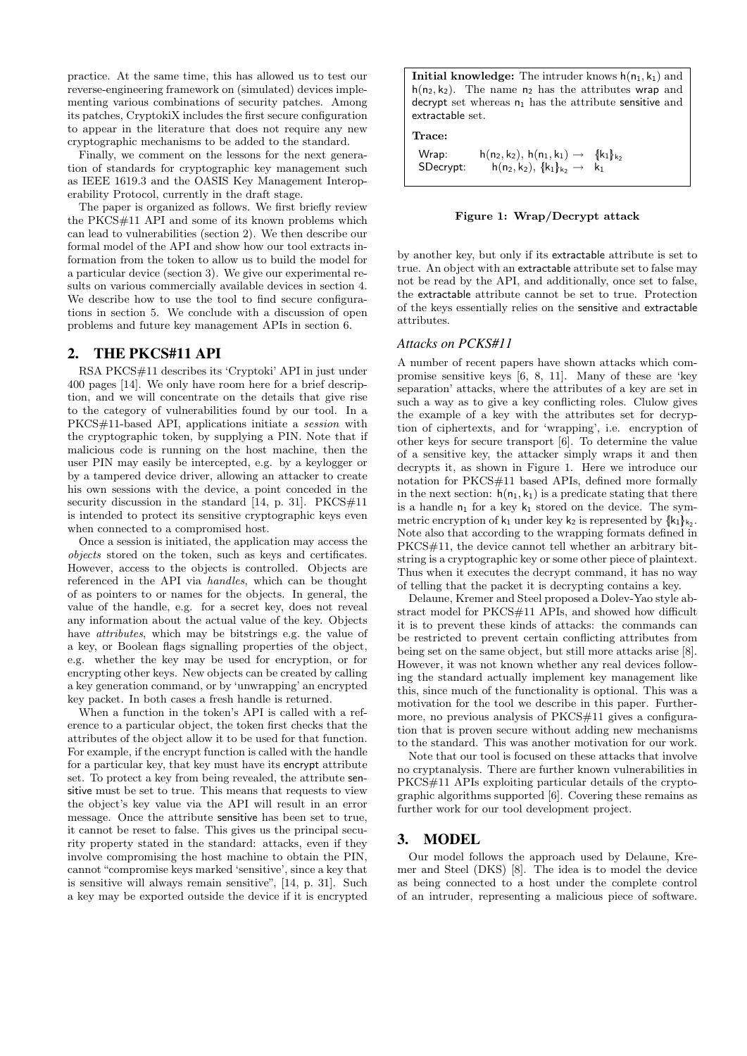practice. At the same time, this has allowed us to test our reverse-engineering framework on (simulated) devices implementing various combinations of security patches. Among its patches, CryptokiX includes the first secure configuration to appear in the literature that does not require any new cryptographic mechanisms to be added to the standard.

Finally, we comment on the lessons for the next generation of standards for cryptographic key management such as IEEE 1619.3 and the OASIS Key Management Interoperability Protocol, currently in the draft stage.

The paper is organized as follows. We first briefly review the PKCS#11 API and some of its known problems which can lead to vulnerabilities (section 2). We then describe our formal model of the API and show how our tool extracts information from the token to allow us to build the model for a particular device (section 3). We give our experimental results on various commercially available devices in section 4. We describe how to use the tool to find secure configurations in section 5. We conclude with a discussion of open problems and future key management APIs in section 6.

## 2. THE PKCS#11 API

RSA PKCS#11 describes its 'Cryptoki' API in just under 400 pages [14]. We only have room here for a brief description, and we will concentrate on the details that give rise to the category of vulnerabilities found by our tool. In a PKCS#11-based API, applications initiate a session with the cryptographic token, by supplying a PIN. Note that if malicious code is running on the host machine, then the user PIN may easily be intercepted, e.g. by a keylogger or by a tampered device driver, allowing an attacker to create his own sessions with the device, a point conceded in the security discussion in the standard [14, p. 31]. PKCS $\#11$ is intended to protect its sensitive cryptographic keys even when connected to a compromised host.

Once a session is initiated, the application may access the objects stored on the token, such as keys and certificates. However, access to the objects is controlled. Objects are referenced in the API via handles, which can be thought of as pointers to or names for the objects. In general, the value of the handle, e.g. for a secret key, does not reveal any information about the actual value of the key. Objects have *attributes*, which may be bitstrings e.g. the value of a key, or Boolean flags signalling properties of the object, e.g. whether the key may be used for encryption, or for encrypting other keys. New objects can be created by calling a key generation command, or by 'unwrapping' an encrypted key packet. In both cases a fresh handle is returned.

When a function in the token's API is called with a reference to a particular object, the token first checks that the attributes of the object allow it to be used for that function. For example, if the encrypt function is called with the handle for a particular key, that key must have its encrypt attribute set. To protect a key from being revealed, the attribute sensitive must be set to true. This means that requests to view the object's key value via the API will result in an error message. Once the attribute sensitive has been set to true, it cannot be reset to false. This gives us the principal security property stated in the standard: attacks, even if they involve compromising the host machine to obtain the PIN, cannot "compromise keys marked 'sensitive', since a key that is sensitive will always remain sensitive", [14, p. 31]. Such a key may be exported outside the device if it is encrypted **Initial knowledge:** The intruder knows  $h(n_1, k_1)$  and  $h(n_2, k_2)$ . The name  $n_2$  has the attributes wrap and decrypt set whereas  $n_1$  has the attribute sensitive and extractable set.

Trace:

Wrap:  $h(n_2, k_2)$ ,  $h(n_1, k_1) \rightarrow \{k_1\}_{k_2}$ SDecrypt:  $h(n_2, k_2)$ ,  ${k_1}_{k_2} \rightarrow k_1$ 

#### Figure 1: Wrap/Decrypt attack

by another key, but only if its extractable attribute is set to true. An object with an extractable attribute set to false may not be read by the API, and additionally, once set to false, the extractable attribute cannot be set to true. Protection of the keys essentially relies on the sensitive and extractable attributes.

#### *Attacks on PCKS#11*

A number of recent papers have shown attacks which compromise sensitive keys [6, 8, 11]. Many of these are 'key separation' attacks, where the attributes of a key are set in such a way as to give a key conflicting roles. Clulow gives the example of a key with the attributes set for decryption of ciphertexts, and for 'wrapping', i.e. encryption of other keys for secure transport [6]. To determine the value of a sensitive key, the attacker simply wraps it and then decrypts it, as shown in Figure 1. Here we introduce our notation for PKCS#11 based APIs, defined more formally in the next section:  $h(n_1, k_1)$  is a predicate stating that there is a handle  $n_1$  for a key  $k_1$  stored on the device. The symmetric encryption of  $k_1$  under key  $k_2$  is represented by  $\{k_1\}_{k_2}$ . Note also that according to the wrapping formats defined in PKCS#11, the device cannot tell whether an arbitrary bitstring is a cryptographic key or some other piece of plaintext. Thus when it executes the decrypt command, it has no way of telling that the packet it is decrypting contains a key.

Delaune, Kremer and Steel proposed a Dolev-Yao style abstract model for PKCS#11 APIs, and showed how difficult it is to prevent these kinds of attacks: the commands can be restricted to prevent certain conflicting attributes from being set on the same object, but still more attacks arise [8]. However, it was not known whether any real devices following the standard actually implement key management like this, since much of the functionality is optional. This was a motivation for the tool we describe in this paper. Furthermore, no previous analysis of PKCS#11 gives a configuration that is proven secure without adding new mechanisms to the standard. This was another motivation for our work.

Note that our tool is focused on these attacks that involve no cryptanalysis. There are further known vulnerabilities in PKCS#11 APIs exploiting particular details of the cryptographic algorithms supported [6]. Covering these remains as further work for our tool development project.

#### 3. MODEL

Our model follows the approach used by Delaune, Kremer and Steel (DKS) [8]. The idea is to model the device as being connected to a host under the complete control of an intruder, representing a malicious piece of software.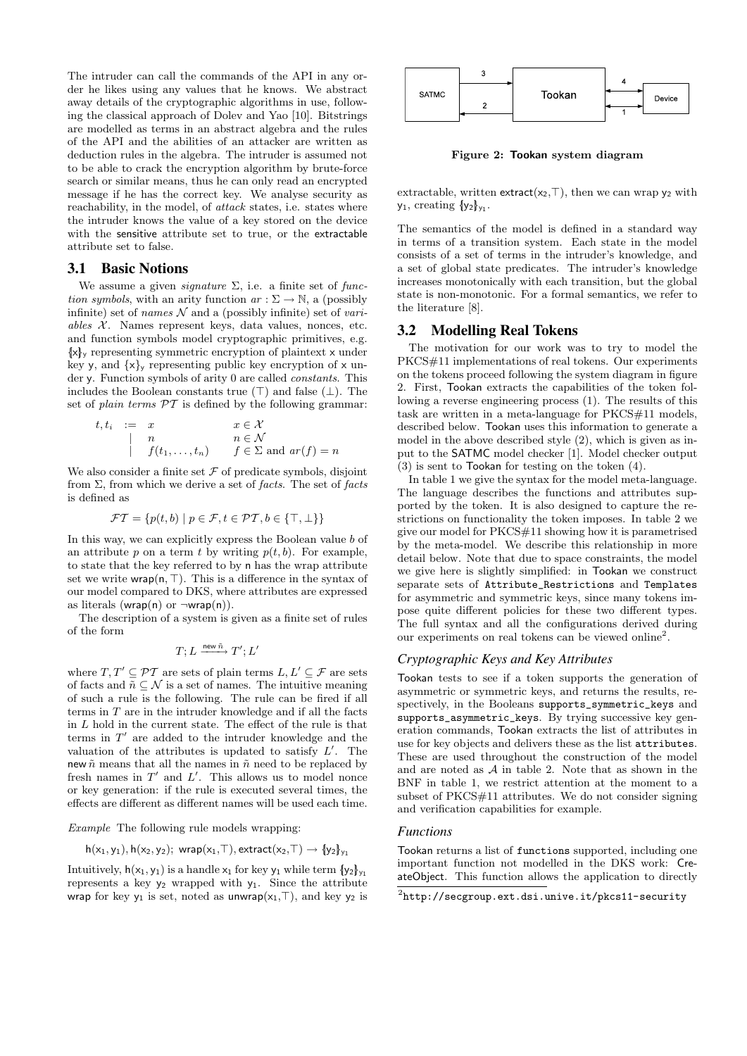The intruder can call the commands of the API in any order he likes using any values that he knows. We abstract away details of the cryptographic algorithms in use, following the classical approach of Dolev and Yao [10]. Bitstrings are modelled as terms in an abstract algebra and the rules of the API and the abilities of an attacker are written as deduction rules in the algebra. The intruder is assumed not to be able to crack the encryption algorithm by brute-force search or similar means, thus he can only read an encrypted message if he has the correct key. We analyse security as reachability, in the model, of attack states, i.e. states where the intruder knows the value of a key stored on the device with the sensitive attribute set to true, or the extractable attribute set to false.

#### 3.1 Basic Notions

We assume a given *signature*  $\Sigma$ , i.e. a finite set of function symbols, with an arity function  $ar : \Sigma \to \mathbb{N}$ , a (possibly infinite) set of names  $N$  and a (possibly infinite) set of variables  $X$ . Names represent keys, data values, nonces, etc. and function symbols model cryptographic primitives, e.g.  $\{x\}$  representing symmetric encryption of plaintext x under key y, and  $\{x\}$  representing public key encryption of x under y. Function symbols of arity 0 are called constants. This includes the Boolean constants true  $(\top)$  and false  $(\bot)$ . The set of plain terms  $\mathcal{PT}$  is defined by the following grammar:

$$
t, t_i := x \nvert n \nvert n \in \mathcal{N}
$$
\n
$$
f(t_1, \ldots, t_n) \nvert f \in \Sigma \text{ and } ar(f) = n
$$

We also consider a finite set  $\mathcal F$  of predicate symbols, disjoint from  $\Sigma$ , from which we derive a set of facts. The set of facts is defined as

$$
\mathcal{FI} = \{p(t, b) \mid p \in \mathcal{F}, t \in \mathcal{PT}, b \in \{\top, \bot\}\}\
$$

In this way, we can explicitly express the Boolean value b of an attribute p on a term t by writing  $p(t, b)$ . For example, to state that the key referred to by n has the wrap attribute set we write  $w \cdot \text{rap}(n, \top)$ . This is a difference in the syntax of our model compared to DKS, where attributes are expressed as literals (wrap(n) or  $\neg$ wrap(n)).

The description of a system is given as a finite set of rules of the form

$$
T;L \xrightarrow{\text{new } \tilde{n}} T';L'
$$

where  $T, T' \subset \mathcal{PT}$  are sets of plain terms  $L, L' \subset \mathcal{F}$  are sets of facts and  $\tilde{n} \subseteq \mathcal{N}$  is a set of names. The intuitive meaning of such a rule is the following. The rule can be fired if all terms in  $T$  are in the intruder knowledge and if all the facts in  $L$  hold in the current state. The effect of the rule is that terms in  $T'$  are added to the intruder knowledge and the valuation of the attributes is updated to satisfy  $L'$ . The new  $\tilde{n}$  means that all the names in  $\tilde{n}$  need to be replaced by fresh names in  $T'$  and  $L'$ . This allows us to model nonce or key generation: if the rule is executed several times, the effects are different as different names will be used each time.

Example The following rule models wrapping:

$$
\mathsf{h}(x_1,y_1),\mathsf{h}(x_2,y_2);\;\mathsf{wrap}(x_1,\!{\top}),\mathsf{extract}(x_2,\!{\top})\rightarrow\{y_2\}_{y_1}
$$

Intuitively,  $h(x_1, y_1)$  is a handle  $x_1$  for key  $y_1$  while term  $\{y_2\}_{y_1}$ represents a key  $y_2$  wrapped with  $y_1$ . Since the attribute wrap for key  $y_1$  is set, noted as unwrap $(x_1,\top)$ , and key  $y_2$  is



Figure 2: Tookan system diagram

extractable, written extract( $x_2$ ,  $\top$ ), then we can wrap  $y_2$  with  $y_1$ , creating  $\{y_2\}_{y_1}$ .

The semantics of the model is defined in a standard way in terms of a transition system. Each state in the model consists of a set of terms in the intruder's knowledge, and a set of global state predicates. The intruder's knowledge increases monotonically with each transition, but the global state is non-monotonic. For a formal semantics, we refer to the literature [8].

## 3.2 Modelling Real Tokens

The motivation for our work was to try to model the PKCS#11 implementations of real tokens. Our experiments on the tokens proceed following the system diagram in figure 2. First, Tookan extracts the capabilities of the token following a reverse engineering process (1). The results of this task are written in a meta-language for PKCS#11 models, described below. Tookan uses this information to generate a model in the above described style (2), which is given as input to the SATMC model checker [1]. Model checker output (3) is sent to Tookan for testing on the token (4).

In table 1 we give the syntax for the model meta-language. The language describes the functions and attributes supported by the token. It is also designed to capture the restrictions on functionality the token imposes. In table 2 we give our model for PKCS#11 showing how it is parametrised by the meta-model. We describe this relationship in more detail below. Note that due to space constraints, the model we give here is slightly simplified: in Tookan we construct separate sets of Attribute\_Restrictions and Templates for asymmetric and symmetric keys, since many tokens impose quite different policies for these two different types. The full syntax and all the configurations derived during our experiments on real tokens can be viewed online<sup>2</sup>.

#### *Cryptographic Keys and Key Attributes*

Tookan tests to see if a token supports the generation of asymmetric or symmetric keys, and returns the results, respectively, in the Booleans supports\_symmetric\_keys and supports\_asymmetric\_keys. By trying successive key generation commands, Tookan extracts the list of attributes in use for key objects and delivers these as the list attributes. These are used throughout the construction of the model and are noted as  $A$  in table 2. Note that as shown in the BNF in table 1, we restrict attention at the moment to a subset of PKCS#11 attributes. We do not consider signing and verification capabilities for example.

#### *Functions*

Tookan returns a list of functions supported, including one important function not modelled in the DKS work: CreateObject. This function allows the application to directly

 $^2$ http://secgroup.ext.dsi.unive.it/pkcs11-security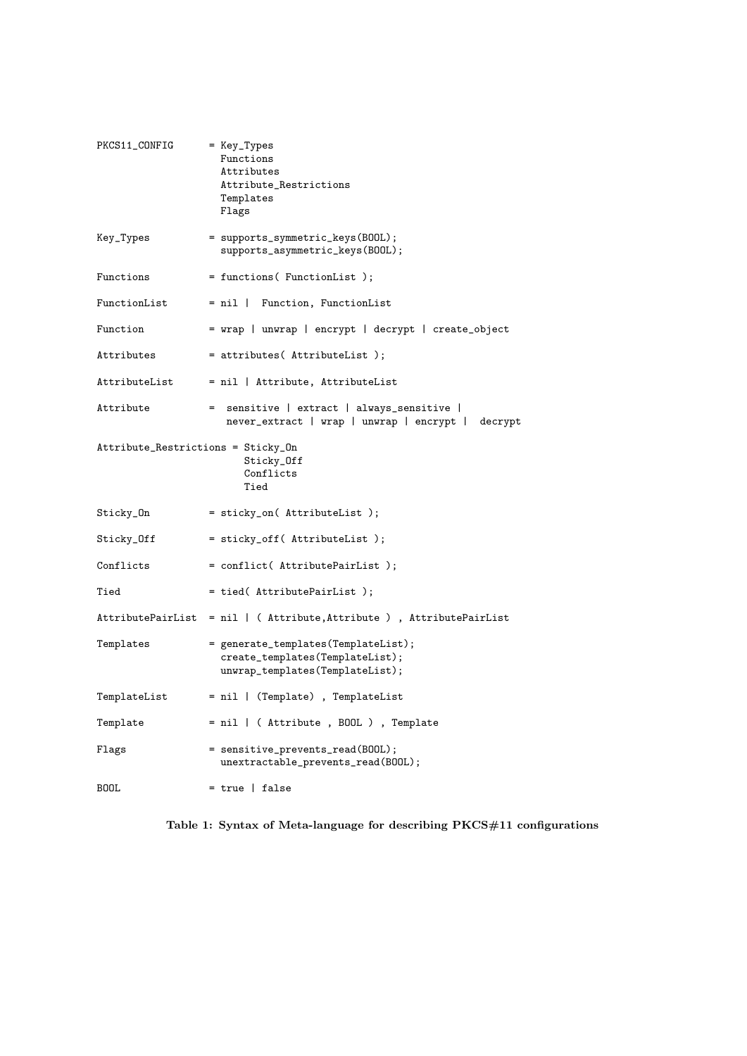| PKCS11_CONFIG                      | = Key_Types<br>Functions<br>Attributes<br>Attribute_Restrictions<br>Templates<br>Flags                    |  |  |  |  |
|------------------------------------|-----------------------------------------------------------------------------------------------------------|--|--|--|--|
| Key_Types                          | = supports_symmetric_keys(BOOL);<br>supports_asymmetric_keys(BOOL);                                       |  |  |  |  |
| Functions                          | = functions( FunctionList);                                                                               |  |  |  |  |
| FunctionList                       | $=$ nil $\vert$<br>Function, FunctionList                                                                 |  |  |  |  |
| Function                           | = wrap   unwrap   encrypt   decrypt   create_object                                                       |  |  |  |  |
| Attributes                         | = attributes( AttributeList);                                                                             |  |  |  |  |
| AttributeList                      | = nil   Attribute, AttributeList                                                                          |  |  |  |  |
| Attribute                          | = sensitive   extract   always_sensitive  <br>never_extract   wrap   unwrap   encrypt  <br>decrypt        |  |  |  |  |
| Attribute_Restrictions = Sticky_On | Sticky_Off<br>Conflicts<br>Tied                                                                           |  |  |  |  |
| Sticky_On                          | = sticky_on( AttributeList );                                                                             |  |  |  |  |
| Sticky_Off                         | = sticky_off( AttributeList );                                                                            |  |  |  |  |
| Conflicts                          | = conflict( AttributePairList);                                                                           |  |  |  |  |
| Tied                               | = tied( AttributePairList );                                                                              |  |  |  |  |
|                                    | AttributePairList = nil   ( Attribute,Attribute ) ,            AttributePairList                          |  |  |  |  |
| Templates                          | = generate_templates(TemplateList);<br>create_templates(TemplateList);<br>unwrap_templates(TemplateList); |  |  |  |  |
| TemplateList                       | = nil   (Template), TemplateList                                                                          |  |  |  |  |
| Template                           | = nil   ( Attribute , BOOL ) , Template                                                                   |  |  |  |  |
| Flags                              | = sensitive_prevents_read(BOOL);<br>unextractable_prevents_read(BOOL);                                    |  |  |  |  |
| BOOL                               | = true   false                                                                                            |  |  |  |  |

Table 1: Syntax of Meta-language for describing PKCS#11 configurations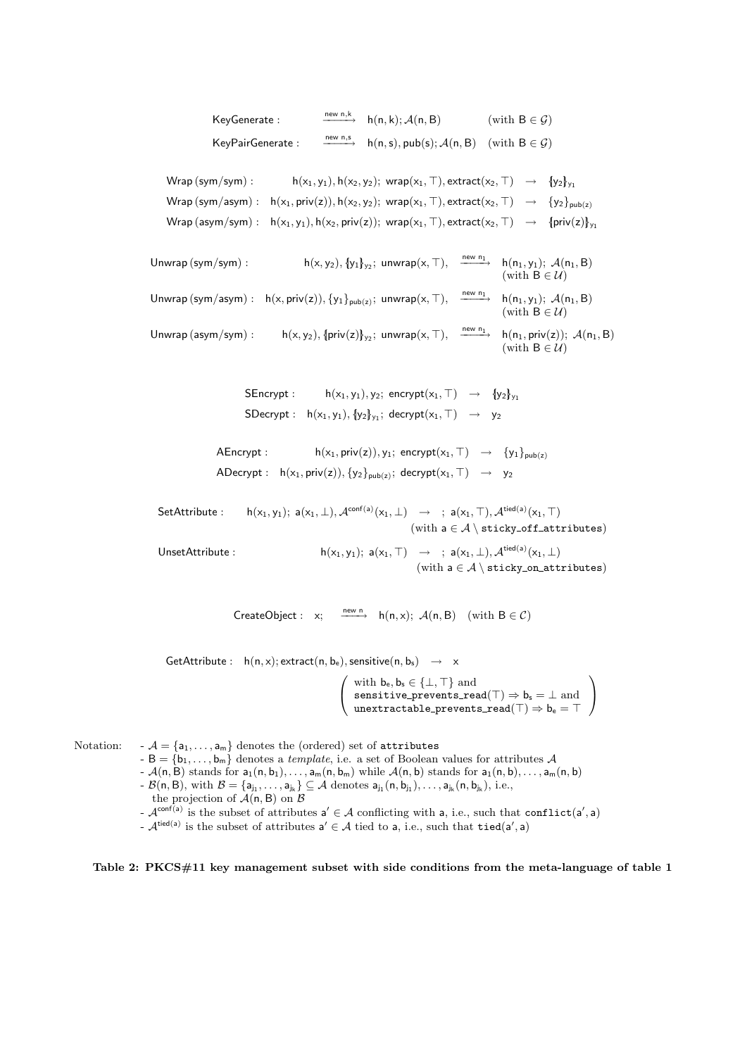KeyGenerate :  $\xrightarrow{\text{new } n,k}$  h(n, k);  $\mathcal{A}(n, B)$  (with  $B \in \mathcal{G}$ ) KeyPairGenerate :  $\xrightarrow{\text{new n,s}} h(n, s), \text{pub}(s); \mathcal{A}(n, B) \text{ (with } B \in \mathcal{G})$ 

 $W \r{rap} (\r{sym/sym}) : h(x_1, y_1), h(x_2, y_2); w \r{rap}(x_1, \top), \r{extract}(x_2, \top) \rightarrow \{y_2\}_y$ Wrap (sym/asym) :  $h(x_1, priv(z)), h(x_2, y_2)$ ; wrap $(x_1, T), extract(x_2, T) \rightarrow \{y_2\}_{pub(z)}$ Wrap (asym/sym) :  $h(x_1, y_1)$ ,  $h(x_2, priv(z))$ ; wrap $(x_1, T)$ , extract $(x_2, T) \rightarrow \{priv(z)\}_{y_1}$ 

Unwrap (sym/sym) : ; unwrap $(x, \top)$ ,  $\xrightarrow{\text{new } n_1}$  h $(n_1, y_1)$ ;  $\mathcal{A}(n_1, B)$ (with  $B \in \mathcal{U}$ )  $\mathsf{Unwrap}\left(\mathsf{sym}/\mathsf{asym}\right): \ \ \mathsf{h}(\mathsf{x}, \mathsf{priv}(\mathsf{z})), \{\mathsf{y}_1\}_{\mathsf{pub}(\mathsf{z})}; \ \mathsf{unwrap}(\mathsf{x}, \top), \ \ \stackrel{\mathsf{new} \ \mathsf{n}_1}{\xrightarrow{\hspace*{0.8cm}}} \ \ \mathsf{h}(\mathsf{n}_1, \mathsf{y}_1); \ \mathcal{A}(\mathsf{n}_1, \mathsf{B})$ (with  $B \in \mathcal{U}$ )  $\mathsf{Unwrap}\left(\mathsf{asym} / \mathsf{sym} \right) : \qquad \mathsf{h}(\mathsf{x}, \mathsf{y}_2), \{\mathsf{priv}(\mathsf{z})\}_{\mathsf{y}_2}; \; \mathsf{unwrap}(\mathsf{x}, \top), \; \xrightarrow{\mathsf{new} \; \mathsf{n}_1} \; \; \mathsf{h}(\mathsf{n}_1, \mathsf{priv}(\mathsf{z})) ; \; \mathcal{A}(\mathsf{n}_1, \mathsf{B})$ (with  $B \in \mathcal{U}$ )

> SEncrypt :  $h(x_1, y_1), y_2$ ; encrypt $(x_1, \top) \rightarrow \{y_2\}_{y_1}$  $\mathsf{SDecrypt:}\quad \mathsf{h}(\mathsf{x}_1,\mathsf{y}_1), \{\mathsf{y}_2\}_{\mathsf{y}_1};\ \mathsf{decrypt}(\mathsf{x}_1,\top)\quad\mathsf{\rightarrow}\quad \mathsf{y}_2$

AEncrypt :  $h(x_1, \text{priv}(z)), y_1; \text{ encrypt}(x_1, \top) \rightarrow \{y_1\}_{\text{pub}(z)}$ ADecrypt :  $h(x_1, priv(z)), \{y_2\}_{pub(z)}$ ; decrypt $(x_1, T) \rightarrow y_2$ 

SetAttribute : 
$$
h(x_1, y_1)
$$
;  $a(x_1, \perp)$ ,  $\mathcal{A}^{\text{conf}(a)}(x_1, \perp) \rightarrow$ ;  $a(x_1, \top)$ ,  $\mathcal{A}^{\text{tied}(a)}(x_1, \top)$   
(with  $a \in \mathcal{A} \setminus \text{sticky_{off_{\text{attributes}}}}$ )

UnsetAttribute :  $h(x_1, y_1); a(x_1, \top) \rightarrow ; a(x_1, \bot), \mathcal{A}^{\text{tied(a)}}(x_1, \bot)$ (with  $a \in \mathcal{A} \setminus \text{sticky\_on\_attributes}$ )

CreateObject : x;  $\xrightarrow{\text{new n}} h(n,x); \mathcal{A}(n,B)$  (with  $B \in \mathcal{C}$ )

GetAttribute :  $h(n, x)$ ; extract $(n, b_e)$ , sensitive $(n, b_s) \rightarrow x$ 

with  $b_e, b_s \in \{\perp, \perp\}$  and sensitive\_prevents\_read $(\top) \Rightarrow b_s = \bot$  and  ${\tt unextractable\_prevents\_read}(\top) \Rightarrow {\tt b_e} = \top$  $\setminus$ A

Notation:  $-\mathcal{A} = \{a_1, \ldots, a_m\}$  denotes the (ordered) set of attributes

 $-B = \{b_1, \ldots, b_m\}$  denotes a *template*, i.e. a set of Boolean values for attributes A

 $\sqrt{ }$  $\overline{1}$ 

- $\mathcal{A}(n, B)$  stands for  $a_1(n, b_1), \ldots, a_m(n, b_m)$  while  $\mathcal{A}(n, b)$  stands for  $a_1(n, b), \ldots, a_m(n, b)$
- $\mathcal{B}(n, B)$ , with  $\mathcal{B} = \{a_{j_1}, \ldots, a_{j_k}\} \subseteq \mathcal{A}$  denotes  $a_{j_1}(n, b_{j_1}), \ldots, a_{j_k}(n, b_{j_k}),$  i.e.,
- the projection of  $\mathcal{A}(n, B)$  on  $\mathcal{B}$
- $\mathcal{A}^{\text{conf(a)}}$  is the subset of attributes  $a' \in \mathcal{A}$  conflicting with a, i.e., such that conflict(a', a)
- $\mathcal{A}^{tied(a)}$  is the subset of attributes  $a' \in \mathcal{A}$  tied to a, i.e., such that  $\textsf{tied}(a',a)$

Table 2: PKCS#11 key management subset with side conditions from the meta-language of table 1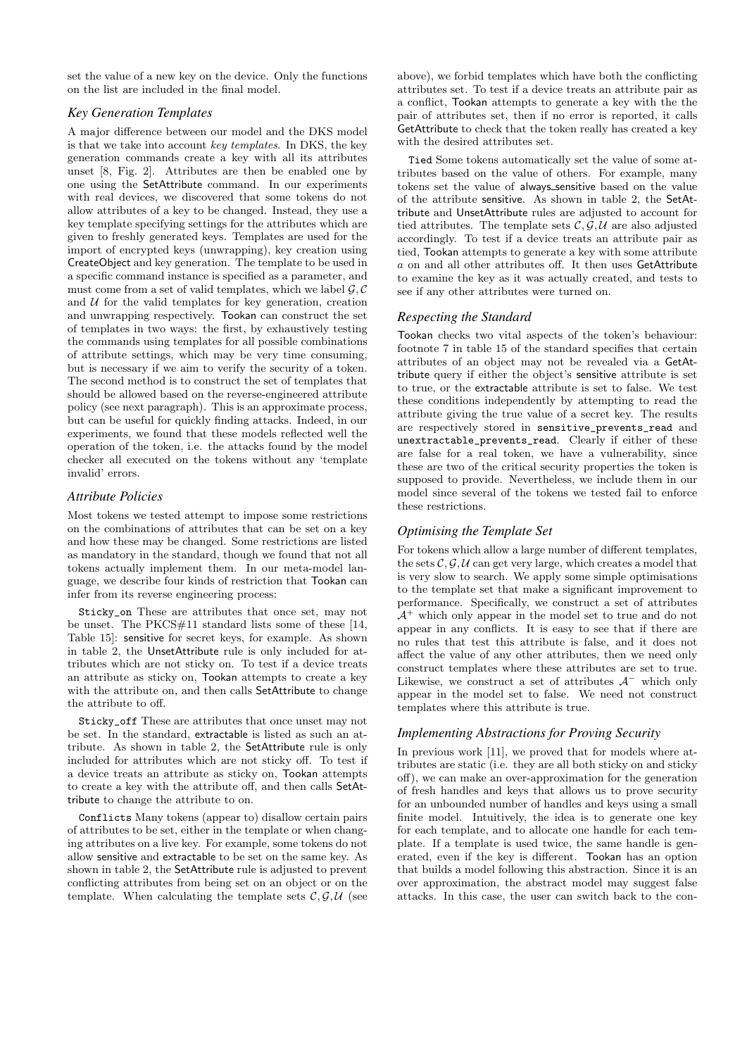set the value of a new key on the device. Only the functions on the list are included in the final model.

## *Key Generation Templates*

A major difference between our model and the DKS model is that we take into account key templates. In DKS, the key generation commands create a key with all its attributes unset [8, Fig. 2]. Attributes are then be enabled one by one using the SetAttribute command. In our experiments with real devices, we discovered that some tokens do not allow attributes of a key to be changed. Instead, they use a key template specifying settings for the attributes which are given to freshly generated keys. Templates are used for the import of encrypted keys (unwrapping), key creation using CreateObject and key generation. The template to be used in a specific command instance is specified as a parameter, and must come from a set of valid templates, which we label  $\mathcal{G}, \mathcal{C}$ and  $U$  for the valid templates for key generation, creation and unwrapping respectively. Tookan can construct the set of templates in two ways: the first, by exhaustively testing the commands using templates for all possible combinations of attribute settings, which may be very time consuming, but is necessary if we aim to verify the security of a token. The second method is to construct the set of templates that should be allowed based on the reverse-engineered attribute policy (see next paragraph). This is an approximate process, but can be useful for quickly finding attacks. Indeed, in our experiments, we found that these models reflected well the operation of the token, i.e. the attacks found by the model checker all executed on the tokens without any 'template invalid' errors.

## *Attribute Policies*

Most tokens we tested attempt to impose some restrictions on the combinations of attributes that can be set on a key and how these may be changed. Some restrictions are listed as mandatory in the standard, though we found that not all tokens actually implement them. In our meta-model language, we describe four kinds of restriction that Tookan can infer from its reverse engineering process:

Sticky\_on These are attributes that once set, may not be unset. The PKCS#11 standard lists some of these [14, Table 15]: sensitive for secret keys, for example. As shown in table 2, the UnsetAttribute rule is only included for attributes which are not sticky on. To test if a device treats an attribute as sticky on, Tookan attempts to create a key with the attribute on, and then calls SetAttribute to change the attribute to off.

Sticky\_off These are attributes that once unset may not be set. In the standard, extractable is listed as such an attribute. As shown in table 2, the SetAttribute rule is only included for attributes which are not sticky off. To test if a device treats an attribute as sticky on, Tookan attempts to create a key with the attribute off, and then calls SetAttribute to change the attribute to on.

Conflicts Many tokens (appear to) disallow certain pairs of attributes to be set, either in the template or when changing attributes on a live key. For example, some tokens do not allow sensitive and extractable to be set on the same key. As shown in table 2, the SetAttribute rule is adjusted to prevent conflicting attributes from being set on an object or on the template. When calculating the template sets  $\mathcal{C}, \mathcal{G}, \mathcal{U}$  (see

above), we forbid templates which have both the conflicting attributes set. To test if a device treats an attribute pair as a conflict, Tookan attempts to generate a key with the the pair of attributes set, then if no error is reported, it calls GetAttribute to check that the token really has created a key with the desired attributes set.

Tied Some tokens automatically set the value of some attributes based on the value of others. For example, many tokens set the value of always\_sensitive based on the value of the attribute sensitive. As shown in table 2, the SetAttribute and UnsetAttribute rules are adjusted to account for tied attributes. The template sets  $\mathcal{C}, \mathcal{G}, \mathcal{U}$  are also adjusted accordingly. To test if a device treats an attribute pair as tied, Tookan attempts to generate a key with some attribute a on and all other attributes off. It then uses GetAttribute to examine the key as it was actually created, and tests to see if any other attributes were turned on.

## *Respecting the Standard*

Tookan checks two vital aspects of the token's behaviour: footnote 7 in table 15 of the standard specifies that certain attributes of an object may not be revealed via a GetAttribute query if either the object's sensitive attribute is set to true, or the extractable attribute is set to false. We test these conditions independently by attempting to read the attribute giving the true value of a secret key. The results are respectively stored in sensitive\_prevents\_read and unextractable\_prevents\_read. Clearly if either of these are false for a real token, we have a vulnerability, since these are two of the critical security properties the token is supposed to provide. Nevertheless, we include them in our model since several of the tokens we tested fail to enforce these restrictions.

# *Optimising the Template Set*

For tokens which allow a large number of different templates, the sets  $\mathcal{C}, \mathcal{G}, \mathcal{U}$  can get very large, which creates a model that is very slow to search. We apply some simple optimisations to the template set that make a significant improvement to performance. Specifically, we construct a set of attributes  $A^+$  which only appear in the model set to true and do not appear in any conflicts. It is easy to see that if there are no rules that test this attribute is false, and it does not affect the value of any other attributes, then we need only construct templates where these attributes are set to true. Likewise, we construct a set of attributes  $A^-$  which only appear in the model set to false. We need not construct templates where this attribute is true.

## *Implementing Abstractions for Proving Security*

In previous work [11], we proved that for models where attributes are static (i.e. they are all both sticky on and sticky off), we can make an over-approximation for the generation of fresh handles and keys that allows us to prove security for an unbounded number of handles and keys using a small finite model. Intuitively, the idea is to generate one key for each template, and to allocate one handle for each template. If a template is used twice, the same handle is generated, even if the key is different. Tookan has an option that builds a model following this abstraction. Since it is an over approximation, the abstract model may suggest false attacks. In this case, the user can switch back to the con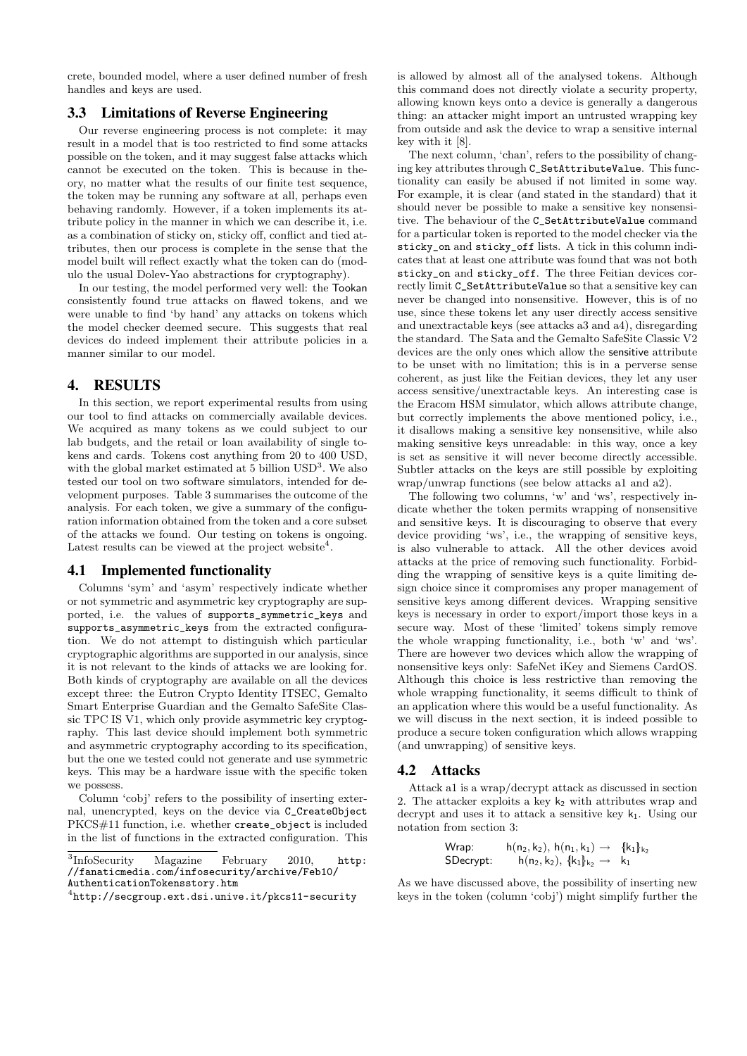crete, bounded model, where a user defined number of fresh handles and keys are used.

# 3.3 Limitations of Reverse Engineering

Our reverse engineering process is not complete: it may result in a model that is too restricted to find some attacks possible on the token, and it may suggest false attacks which cannot be executed on the token. This is because in theory, no matter what the results of our finite test sequence, the token may be running any software at all, perhaps even behaving randomly. However, if a token implements its attribute policy in the manner in which we can describe it, i.e. as a combination of sticky on, sticky off, conflict and tied attributes, then our process is complete in the sense that the model built will reflect exactly what the token can do (modulo the usual Dolev-Yao abstractions for cryptography).

In our testing, the model performed very well: the Tookan consistently found true attacks on flawed tokens, and we were unable to find 'by hand' any attacks on tokens which the model checker deemed secure. This suggests that real devices do indeed implement their attribute policies in a manner similar to our model.

# 4. RESULTS

In this section, we report experimental results from using our tool to find attacks on commercially available devices. We acquired as many tokens as we could subject to our lab budgets, and the retail or loan availability of single tokens and cards. Tokens cost anything from 20 to 400 USD, with the global market estimated at 5 billion  $\text{USD}^3$ . We also tested our tool on two software simulators, intended for development purposes. Table 3 summarises the outcome of the analysis. For each token, we give a summary of the configuration information obtained from the token and a core subset of the attacks we found. Our testing on tokens is ongoing. Latest results can be viewed at the project website<sup>4</sup>.

# 4.1 Implemented functionality

Columns 'sym' and 'asym' respectively indicate whether or not symmetric and asymmetric key cryptography are supported, i.e. the values of supports\_symmetric\_keys and supports\_asymmetric\_keys from the extracted configuration. We do not attempt to distinguish which particular cryptographic algorithms are supported in our analysis, since it is not relevant to the kinds of attacks we are looking for. Both kinds of cryptography are available on all the devices except three: the Eutron Crypto Identity ITSEC, Gemalto Smart Enterprise Guardian and the Gemalto SafeSite Classic TPC IS V1, which only provide asymmetric key cryptography. This last device should implement both symmetric and asymmetric cryptography according to its specification, but the one we tested could not generate and use symmetric keys. This may be a hardware issue with the specific token we possess.

Column 'cobj' refers to the possibility of inserting external, unencrypted, keys on the device via C\_CreateObject PKCS#11 function, i.e. whether create\_object is included in the list of functions in the extracted configuration. This is allowed by almost all of the analysed tokens. Although this command does not directly violate a security property, allowing known keys onto a device is generally a dangerous thing: an attacker might import an untrusted wrapping key from outside and ask the device to wrap a sensitive internal key with it [8].

The next column, 'chan', refers to the possibility of changing key attributes through C\_SetAttributeValue. This functionality can easily be abused if not limited in some way. For example, it is clear (and stated in the standard) that it should never be possible to make a sensitive key nonsensitive. The behaviour of the C\_SetAttributeValue command for a particular token is reported to the model checker via the sticky\_on and sticky\_off lists. A tick in this column indicates that at least one attribute was found that was not both sticky\_on and sticky\_off. The three Feitian devices correctly limit C\_SetAttributeValue so that a sensitive key can never be changed into nonsensitive. However, this is of no use, since these tokens let any user directly access sensitive and unextractable keys (see attacks a3 and a4), disregarding the standard. The Sata and the Gemalto SafeSite Classic V2 devices are the only ones which allow the sensitive attribute to be unset with no limitation; this is in a perverse sense coherent, as just like the Feitian devices, they let any user access sensitive/unextractable keys. An interesting case is the Eracom HSM simulator, which allows attribute change, but correctly implements the above mentioned policy, i.e., it disallows making a sensitive key nonsensitive, while also making sensitive keys unreadable: in this way, once a key is set as sensitive it will never become directly accessible. Subtler attacks on the keys are still possible by exploiting wrap/unwrap functions (see below attacks a1 and a2).

The following two columns, 'w' and 'ws', respectively indicate whether the token permits wrapping of nonsensitive and sensitive keys. It is discouraging to observe that every device providing 'ws', i.e., the wrapping of sensitive keys, is also vulnerable to attack. All the other devices avoid attacks at the price of removing such functionality. Forbidding the wrapping of sensitive keys is a quite limiting design choice since it compromises any proper management of sensitive keys among different devices. Wrapping sensitive keys is necessary in order to export/import those keys in a secure way. Most of these 'limited' tokens simply remove the whole wrapping functionality, i.e., both 'w' and 'ws'. There are however two devices which allow the wrapping of nonsensitive keys only: SafeNet iKey and Siemens CardOS. Although this choice is less restrictive than removing the whole wrapping functionality, it seems difficult to think of an application where this would be a useful functionality. As we will discuss in the next section, it is indeed possible to produce a secure token configuration which allows wrapping (and unwrapping) of sensitive keys.

#### 4.2 Attacks

Attack a1 is a wrap/decrypt attack as discussed in section 2. The attacker exploits a key  $k_2$  with attributes wrap and decrypt and uses it to attack a sensitive key  $k_1$ . Using our notation from section 3:

$$
\begin{array}{lll} \text{Wrap:} & h(n_2,k_2), h(n_1,k_1) \to & {k_1} k_2 \\ \text{SDecrypt:} & h(n_2,k_2), {k_1} k_2 \to & k_1 \end{array}
$$

As we have discussed above, the possibility of inserting new keys in the token (column 'cobj') might simplify further the

<sup>3</sup> InfoSecurity Magazine February 2010, http: //fanaticmedia.com/infosecurity/archive/Feb10/ AuthenticationTokensstory.htm

 $^4$ http://secgroup.ext.dsi.unive.it/pkcs11-security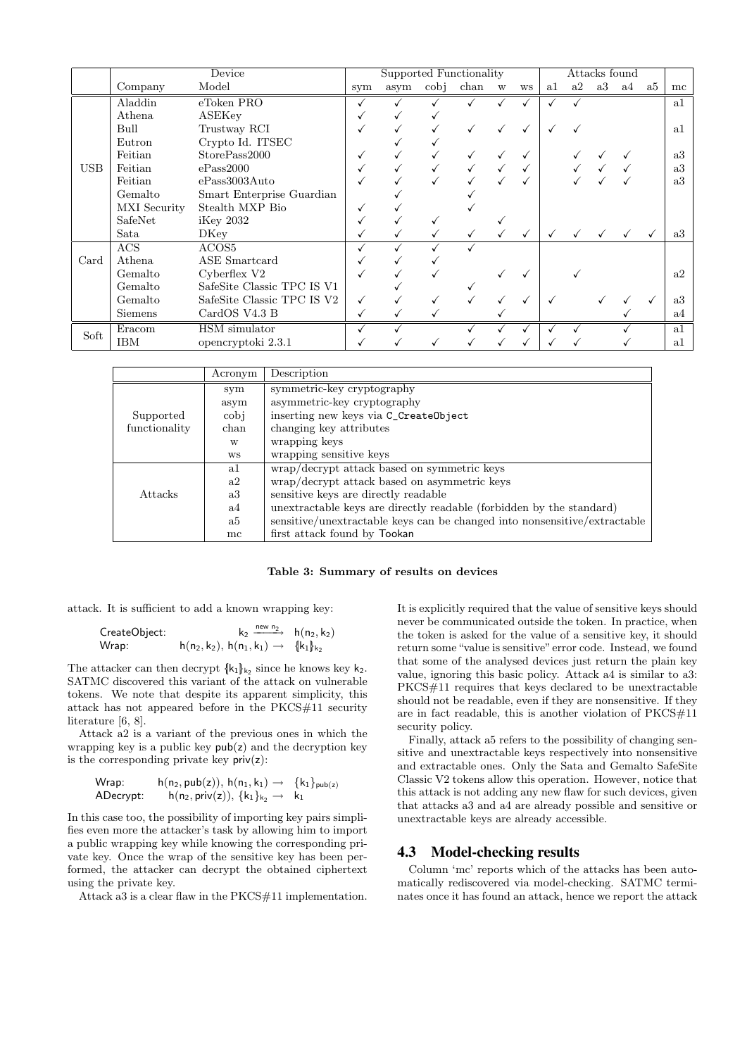|                | Device       |                            |     | Supported Functionality |      |      |   |    | Attacks found |    |    |    |    |                |
|----------------|--------------|----------------------------|-----|-------------------------|------|------|---|----|---------------|----|----|----|----|----------------|
|                | Company      | Model                      | sym | asym                    | cobi | chan | W | WS | a1            | a2 | a3 | a4 | a5 | mc             |
|                | Aladdin      | eToken PRO                 |     |                         |      |      |   |    |               |    |    |    |    | a1             |
| Athena<br>Bull |              | ASEKey                     |     |                         |      |      |   |    |               |    |    |    |    |                |
|                |              | Trustway RCI               |     |                         |      |      |   |    |               |    |    |    |    | a1             |
|                | Eutron       | Crypto Id. ITSEC           |     |                         |      |      |   |    |               |    |    |    |    |                |
| <b>USB</b>     | Feitian      | StorePass2000              |     |                         |      |      |   |    |               |    |    |    |    | a <sub>3</sub> |
|                | Feitian      | ePass2000                  |     |                         |      |      |   |    |               |    |    |    |    | a3             |
|                | Feitian      | ePass3003Auto              |     |                         |      |      |   |    |               |    |    |    |    | a <sub>3</sub> |
|                | Gemalto      | Smart Enterprise Guardian  |     |                         |      |      |   |    |               |    |    |    |    |                |
|                | MXI Security | Stealth MXP Bio            |     |                         |      |      |   |    |               |    |    |    |    |                |
|                | SafeNet      | $i$ Key 2032               |     |                         |      |      |   |    |               |    |    |    |    |                |
|                | Sata         | DKey                       |     |                         |      |      |   |    |               |    |    |    |    | a3             |
|                | ACS          | ACOS5                      |     |                         |      |      |   |    |               |    |    |    |    |                |
| Card           | Athena       | ASE Smartcard              |     |                         |      |      |   |    |               |    |    |    |    |                |
|                | Gemalto      | Cyberflex V2               |     |                         |      |      |   |    |               |    |    |    |    | a2             |
|                | Gemalto      | SafeSite Classic TPC IS V1 |     |                         |      |      |   |    |               |    |    |    |    |                |
|                | Gemalto      | SafeSite Classic TPC IS V2 |     |                         |      |      |   |    |               |    |    |    |    | a3             |
|                | Siemens      | CardOS V4.3 B              |     |                         |      |      |   |    |               |    |    |    |    | a4             |
| Soft           | Eracom       | <b>HSM</b> simulator       |     |                         |      |      |   |    |               |    |    |    |    | a1             |
|                | <b>IBM</b>   | opencryptoki 2.3.1         |     |                         |      |      |   |    |               |    |    |    |    | a1             |

|               | Acronym        | Description                                                               |  |  |  |  |  |
|---------------|----------------|---------------------------------------------------------------------------|--|--|--|--|--|
|               | sym            | symmetric-key cryptography                                                |  |  |  |  |  |
|               | asym           | asymmetric-key cryptography                                               |  |  |  |  |  |
| Supported     | cobj           | inserting new keys via C_CreateObject                                     |  |  |  |  |  |
| functionality | chan           | changing key attributes                                                   |  |  |  |  |  |
|               | W              | wrapping keys                                                             |  |  |  |  |  |
|               | WS             | wrapping sensitive keys                                                   |  |  |  |  |  |
|               | a1             | wrap/decrypt attack based on symmetric keys                               |  |  |  |  |  |
| Attacks       | a2             | wrap/decrypt attack based on asymmetric keys                              |  |  |  |  |  |
|               | a3             | sensitive keys are directly readable                                      |  |  |  |  |  |
|               | a4             | unextractable keys are directly readable (forbidden by the standard)      |  |  |  |  |  |
|               | a <sub>5</sub> | sensitive/unextractable keys can be changed into nonsensitive/extractable |  |  |  |  |  |
|               | mc             | first attack found by Tookan                                              |  |  |  |  |  |

#### Table 3: Summary of results on devices

attack. It is sufficient to add a known wrapping key:

$$
\begin{array}{lll} \text{CreateObject:} & k_2 \xrightarrow{\text{new n}_2} & h(n_2, k_2) \\ \text{Wrap:} & h(n_2, k_2), h(n_1, k_1) \rightarrow & \{k_1\}_{k_2} \end{array}
$$

The attacker can then decrypt  $\{k_1\}_{k_2}$  since he knows key  $k_2$ . SATMC discovered this variant of the attack on vulnerable tokens. We note that despite its apparent simplicity, this attack has not appeared before in the PKCS#11 security literature [6, 8].

Attack a2 is a variant of the previous ones in which the wrapping key is a public key  $\mathsf{pub}(z)$  and the decryption key is the corresponding private key  $\text{priv}(z)$ :

$$
\begin{array}{lll} \text{Wrap:} & h(n_2,\mathsf{pub}(z)), h(n_1,k_1) \rightarrow & \{k_1\}_{\mathsf{pub}(z)} \\ \text{ADecrypt:} & h(n_2,\mathsf{priv}(z)), \{k_1\}_{k_2} \rightarrow & k_1 \end{array}
$$

In this case too, the possibility of importing key pairs simplifies even more the attacker's task by allowing him to import a public wrapping key while knowing the corresponding private key. Once the wrap of the sensitive key has been performed, the attacker can decrypt the obtained ciphertext using the private key.

Attack a3 is a clear flaw in the PKCS#11 implementation.

It is explicitly required that the value of sensitive keys should never be communicated outside the token. In practice, when the token is asked for the value of a sensitive key, it should return some "value is sensitive"error code. Instead, we found that some of the analysed devices just return the plain key value, ignoring this basic policy. Attack a4 is similar to a3: PKCS#11 requires that keys declared to be unextractable should not be readable, even if they are nonsensitive. If they are in fact readable, this is another violation of PKCS#11 security policy.

Finally, attack a5 refers to the possibility of changing sensitive and unextractable keys respectively into nonsensitive and extractable ones. Only the Sata and Gemalto SafeSite Classic V2 tokens allow this operation. However, notice that this attack is not adding any new flaw for such devices, given that attacks a3 and a4 are already possible and sensitive or unextractable keys are already accessible.

# 4.3 Model-checking results

Column 'mc' reports which of the attacks has been automatically rediscovered via model-checking. SATMC terminates once it has found an attack, hence we report the attack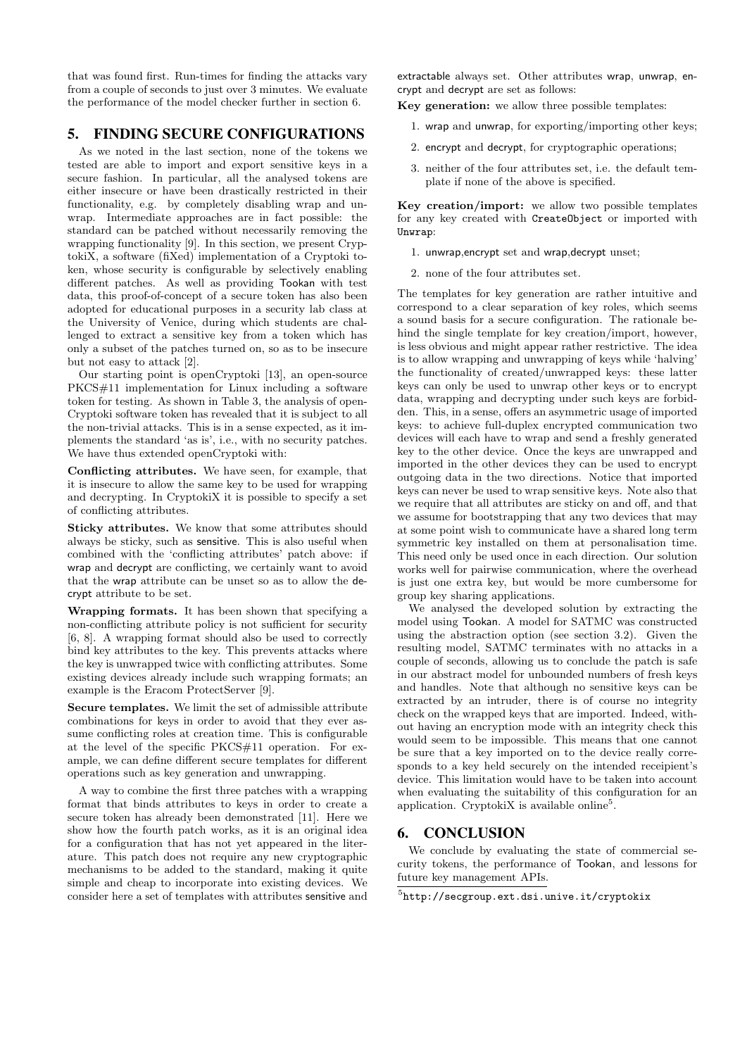that was found first. Run-times for finding the attacks vary from a couple of seconds to just over 3 minutes. We evaluate the performance of the model checker further in section 6.

## 5. FINDING SECURE CONFIGURATIONS

As we noted in the last section, none of the tokens we tested are able to import and export sensitive keys in a secure fashion. In particular, all the analysed tokens are either insecure or have been drastically restricted in their functionality, e.g. by completely disabling wrap and unwrap. Intermediate approaches are in fact possible: the standard can be patched without necessarily removing the wrapping functionality [9]. In this section, we present CryptokiX, a software (fiXed) implementation of a Cryptoki token, whose security is configurable by selectively enabling different patches. As well as providing Tookan with test data, this proof-of-concept of a secure token has also been adopted for educational purposes in a security lab class at the University of Venice, during which students are challenged to extract a sensitive key from a token which has only a subset of the patches turned on, so as to be insecure but not easy to attack [2].

Our starting point is openCryptoki [13], an open-source PKCS#11 implementation for Linux including a software token for testing. As shown in Table 3, the analysis of open-Cryptoki software token has revealed that it is subject to all the non-trivial attacks. This is in a sense expected, as it implements the standard 'as is', i.e., with no security patches. We have thus extended openCryptoki with:

Conflicting attributes. We have seen, for example, that it is insecure to allow the same key to be used for wrapping and decrypting. In CryptokiX it is possible to specify a set of conflicting attributes.

Sticky attributes. We know that some attributes should always be sticky, such as sensitive. This is also useful when combined with the 'conflicting attributes' patch above: if wrap and decrypt are conflicting, we certainly want to avoid that the wrap attribute can be unset so as to allow the decrypt attribute to be set.

Wrapping formats. It has been shown that specifying a non-conflicting attribute policy is not sufficient for security [6, 8]. A wrapping format should also be used to correctly bind key attributes to the key. This prevents attacks where the key is unwrapped twice with conflicting attributes. Some existing devices already include such wrapping formats; an example is the Eracom ProtectServer [9].

Secure templates. We limit the set of admissible attribute combinations for keys in order to avoid that they ever assume conflicting roles at creation time. This is configurable at the level of the specific PKCS#11 operation. For example, we can define different secure templates for different operations such as key generation and unwrapping.

A way to combine the first three patches with a wrapping format that binds attributes to keys in order to create a secure token has already been demonstrated [11]. Here we show how the fourth patch works, as it is an original idea for a configuration that has not yet appeared in the literature. This patch does not require any new cryptographic mechanisms to be added to the standard, making it quite simple and cheap to incorporate into existing devices. We consider here a set of templates with attributes sensitive and

extractable always set. Other attributes wrap, unwrap, encrypt and decrypt are set as follows:

- Key generation: we allow three possible templates:
	- 1. wrap and unwrap, for exporting/importing other keys;
	- 2. encrypt and decrypt, for cryptographic operations;
	- 3. neither of the four attributes set, i.e. the default template if none of the above is specified.

Key creation/import: we allow two possible templates for any key created with CreateObject or imported with Unwrap:

- 1. unwrap,encrypt set and wrap,decrypt unset;
- 2. none of the four attributes set.

The templates for key generation are rather intuitive and correspond to a clear separation of key roles, which seems a sound basis for a secure configuration. The rationale behind the single template for key creation/import, however, is less obvious and might appear rather restrictive. The idea is to allow wrapping and unwrapping of keys while 'halving' the functionality of created/unwrapped keys: these latter keys can only be used to unwrap other keys or to encrypt data, wrapping and decrypting under such keys are forbidden. This, in a sense, offers an asymmetric usage of imported keys: to achieve full-duplex encrypted communication two devices will each have to wrap and send a freshly generated key to the other device. Once the keys are unwrapped and imported in the other devices they can be used to encrypt outgoing data in the two directions. Notice that imported keys can never be used to wrap sensitive keys. Note also that we require that all attributes are sticky on and off, and that we assume for bootstrapping that any two devices that may at some point wish to communicate have a shared long term symmetric key installed on them at personalisation time. This need only be used once in each direction. Our solution works well for pairwise communication, where the overhead is just one extra key, but would be more cumbersome for group key sharing applications.

We analysed the developed solution by extracting the model using Tookan. A model for SATMC was constructed using the abstraction option (see section 3.2). Given the resulting model, SATMC terminates with no attacks in a couple of seconds, allowing us to conclude the patch is safe in our abstract model for unbounded numbers of fresh keys and handles. Note that although no sensitive keys can be extracted by an intruder, there is of course no integrity check on the wrapped keys that are imported. Indeed, without having an encryption mode with an integrity check this would seem to be impossible. This means that one cannot be sure that a key imported on to the device really corresponds to a key held securely on the intended receipient's device. This limitation would have to be taken into account when evaluating the suitability of this configuration for an application. CryptokiX is available online<sup>5</sup>.

# 6. CONCLUSION

We conclude by evaluating the state of commercial security tokens, the performance of Tookan, and lessons for future key management APIs.

 $5$ http://secgroup.ext.dsi.unive.it/cryptokix